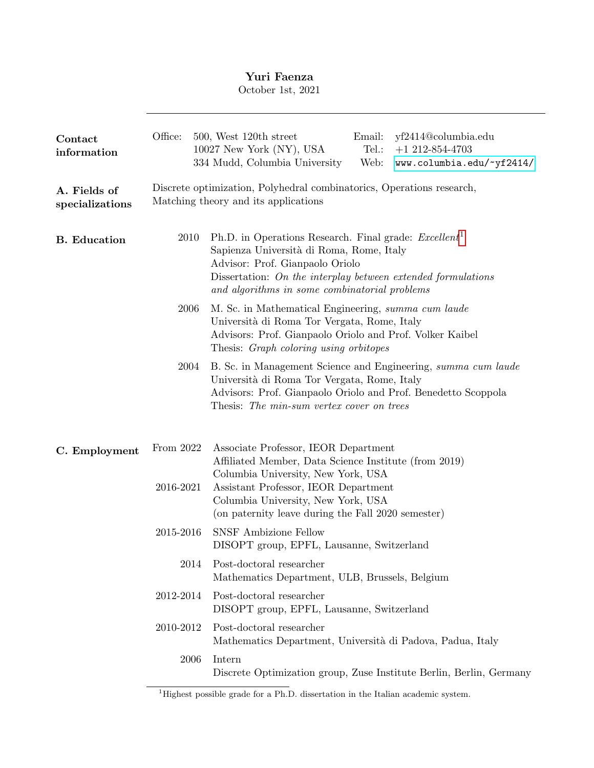# Yuri Faenza

October 1st, 2021

| Contact<br>information          | Office:                                                                                                       | yf2414@columbia.edu<br>500, West 120th street<br>Email:<br>10027 New York (NY), USA<br>Tel.:<br>$+1$ 212-854-4703<br>334 Mudd, Columbia University<br>Web:<br>www.columbia.edu/~yf2414/                                                                         |  |  |  |  |  |
|---------------------------------|---------------------------------------------------------------------------------------------------------------|-----------------------------------------------------------------------------------------------------------------------------------------------------------------------------------------------------------------------------------------------------------------|--|--|--|--|--|
| A. Fields of<br>specializations | Discrete optimization, Polyhedral combinatorics, Operations research,<br>Matching theory and its applications |                                                                                                                                                                                                                                                                 |  |  |  |  |  |
| <b>B.</b> Education             | 2010                                                                                                          | Ph.D. in Operations Research. Final grade: $\text{Excellent}^1$<br>Sapienza Università di Roma, Rome, Italy<br>Advisor: Prof. Gianpaolo Oriolo<br>Dissertation: On the interplay between extended formulations<br>and algorithms in some combinatorial problems |  |  |  |  |  |
| 2006                            |                                                                                                               | M. Sc. in Mathematical Engineering, summa cum laude<br>Università di Roma Tor Vergata, Rome, Italy<br>Advisors: Prof. Gianpaolo Oriolo and Prof. Volker Kaibel<br>Thesis: <i>Graph coloring using orbitopes</i>                                                 |  |  |  |  |  |
|                                 | 2004                                                                                                          | B. Sc. in Management Science and Engineering, summa cum laude<br>Università di Roma Tor Vergata, Rome, Italy<br>Advisors: Prof. Gianpaolo Oriolo and Prof. Benedetto Scoppola<br>Thesis: The min-sum vertex cover on trees                                      |  |  |  |  |  |
| C. Employment                   | From 2022                                                                                                     | Associate Professor, IEOR Department<br>Affiliated Member, Data Science Institute (from 2019)<br>Columbia University, New York, USA                                                                                                                             |  |  |  |  |  |
|                                 | 2016-2021                                                                                                     | Assistant Professor, IEOR Department<br>Columbia University, New York, USA<br>(on paternity leave during the Fall 2020 semester)                                                                                                                                |  |  |  |  |  |
|                                 | 2015-2016                                                                                                     | <b>SNSF Ambizione Fellow</b><br>DISOPT group, EPFL, Lausanne, Switzerland                                                                                                                                                                                       |  |  |  |  |  |
|                                 | 2014                                                                                                          | Post-doctoral researcher<br>Mathematics Department, ULB, Brussels, Belgium                                                                                                                                                                                      |  |  |  |  |  |
|                                 | 2012-2014                                                                                                     | Post-doctoral researcher<br>DISOPT group, EPFL, Lausanne, Switzerland                                                                                                                                                                                           |  |  |  |  |  |
|                                 | 2010-2012                                                                                                     | Post-doctoral researcher<br>Mathematics Department, Università di Padova, Padua, Italy                                                                                                                                                                          |  |  |  |  |  |
|                                 | 2006                                                                                                          | Intern<br>Discrete Optimization group, Zuse Institute Berlin, Berlin, Germany                                                                                                                                                                                   |  |  |  |  |  |

<span id="page-0-0"></span> $\overline{1}$  Highest possible grade for a Ph.D. dissertation in the Italian academic system.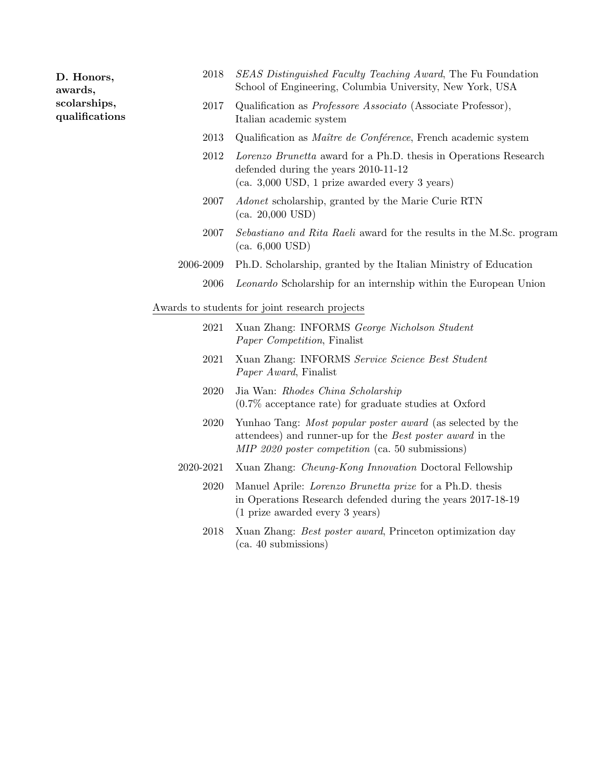| D. Honors,<br>awards,          | 2018                                           | SEAS Distinguished Faculty Teaching Award, The Fu Foundation<br>School of Engineering, Columbia University, New York, USA                                                          |  |  |  |  |
|--------------------------------|------------------------------------------------|------------------------------------------------------------------------------------------------------------------------------------------------------------------------------------|--|--|--|--|
| scolarships,<br>qualifications | 2017                                           | Qualification as <i>Professore Associato</i> (Associate Professor),<br>Italian academic system                                                                                     |  |  |  |  |
|                                | 2013                                           | Qualification as <i>Maître de Conférence</i> , French academic system                                                                                                              |  |  |  |  |
|                                | 2012                                           | Lorenzo Brunetta award for a Ph.D. thesis in Operations Research<br>defended during the years 2010-11-12<br>$(ca. 3,000$ USD, 1 prize awarded every 3 years)                       |  |  |  |  |
|                                | 2007                                           | <i>Adonet</i> scholarship, granted by the Marie Curie RTN<br>(ca. 20,000text, USD)                                                                                                 |  |  |  |  |
|                                | 2007                                           | <i>Sebastiano and Rita Raeli</i> award for the results in the M.Sc. program<br>(ca. 6,000text, USD)                                                                                |  |  |  |  |
|                                | 2006-2009                                      | Ph.D. Scholarship, granted by the Italian Ministry of Education                                                                                                                    |  |  |  |  |
|                                | 2006                                           | <i>Leonardo</i> Scholarship for an internship within the European Union                                                                                                            |  |  |  |  |
|                                | Awards to students for joint research projects |                                                                                                                                                                                    |  |  |  |  |
|                                | 2021                                           | Xuan Zhang: INFORMS George Nicholson Student<br>Paper Competition, Finalist                                                                                                        |  |  |  |  |
|                                | 2021                                           | Xuan Zhang: INFORMS Service Science Best Student<br><i>Paper Award</i> , Finalist                                                                                                  |  |  |  |  |
|                                | 2020                                           | Jia Wan: Rhodes China Scholarship<br>$(0.7\%$ acceptance rate) for graduate studies at Oxford                                                                                      |  |  |  |  |
|                                | 2020                                           | Yunhao Tang: Most popular poster award (as selected by the<br>attendees) and runner-up for the <i>Best poster award</i> in the<br>MIP 2020 poster competition (ca. 50 submissions) |  |  |  |  |
|                                | 2020-2021                                      | Xuan Zhang: Cheung-Kong Innovation Doctoral Fellowship                                                                                                                             |  |  |  |  |
|                                | 2020                                           | Manuel Aprile: <i>Lorenzo Brunetta prize</i> for a Ph.D. thesis<br>in Operations Research defended during the years 2017-18-19<br>(1 prize awarded every 3 years)                  |  |  |  |  |
|                                | 2018                                           | Xuan Zhang: Best poster award, Princeton optimization day<br>$(ca. 40 \text{ submissions}$                                                                                         |  |  |  |  |
|                                |                                                |                                                                                                                                                                                    |  |  |  |  |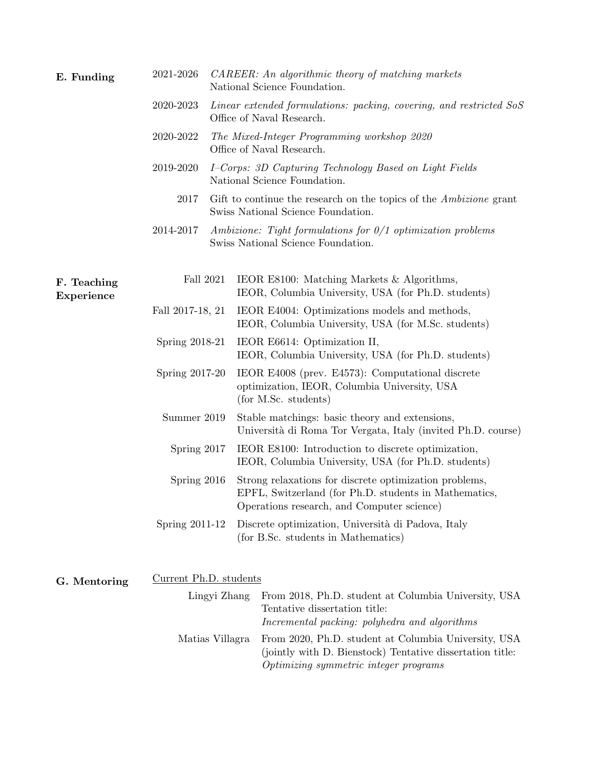| E. Funding                | 2021-2026              |  | CAREER: An algorithmic theory of matching markets<br>National Science Foundation.                                                                             |  |  |
|---------------------------|------------------------|--|---------------------------------------------------------------------------------------------------------------------------------------------------------------|--|--|
|                           | 2020-2023              |  | Linear extended formulations: packing, covering, and restricted SoS<br>Office of Naval Research.                                                              |  |  |
|                           | 2020-2022              |  | The Mixed-Integer Programming workshop 2020<br>Office of Naval Research.                                                                                      |  |  |
|                           | 2019-2020              |  | I-Corps: 3D Capturing Technology Based on Light Fields<br>National Science Foundation.                                                                        |  |  |
|                           | 2017                   |  | Gift to continue the research on the topics of the <i>Ambizione</i> grant<br>Swiss National Science Foundation.                                               |  |  |
|                           | 2014-2017              |  | Ambizione: Tight formulations for $0/1$ optimization problems<br>Swiss National Science Foundation.                                                           |  |  |
| F. Teaching<br>Experience | Fall 2021              |  | IEOR E8100: Matching Markets & Algorithms,<br>IEOR, Columbia University, USA (for Ph.D. students)                                                             |  |  |
|                           | Fall 2017-18, 21       |  | IEOR E4004: Optimizations models and methods,<br>IEOR, Columbia University, USA (for M.Sc. students)                                                          |  |  |
|                           | Spring 2018-21         |  | IEOR E6614: Optimization II,<br>IEOR, Columbia University, USA (for Ph.D. students)                                                                           |  |  |
|                           | Spring 2017-20         |  | IEOR E4008 (prev. E4573): Computational discrete<br>optimization, IEOR, Columbia University, USA<br>(for M.Sc. students)                                      |  |  |
|                           | Summer 2019            |  | Stable matchings: basic theory and extensions,<br>Università di Roma Tor Vergata, Italy (invited Ph.D. course)                                                |  |  |
|                           | Spring 2017            |  | IEOR E8100: Introduction to discrete optimization,<br>IEOR, Columbia University, USA (for Ph.D. students)                                                     |  |  |
|                           | Spring 2016            |  | Strong relaxations for discrete optimization problems,<br>EPFL, Switzerland (for Ph.D. students in Mathematics,<br>Operations research, and Computer science) |  |  |
|                           | Spring 2011-12         |  | Discrete optimization, Università di Padova, Italy<br>(for B.Sc. students in Mathematics)                                                                     |  |  |
| G. Mentoring              | Current Ph.D. students |  |                                                                                                                                                               |  |  |
|                           | Lingyi Zhang           |  | From 2018, Ph.D. student at Columbia University, USA<br>Tentative dissertation title:<br>Incremental packing: polyhedra and algorithms                        |  |  |
|                           | Matias Villagra        |  | From 2020, Ph.D. student at Columbia University, USA<br>(jointly with D. Bienstock) Tentative dissertation title:<br>Optimizing symmetric integer programs    |  |  |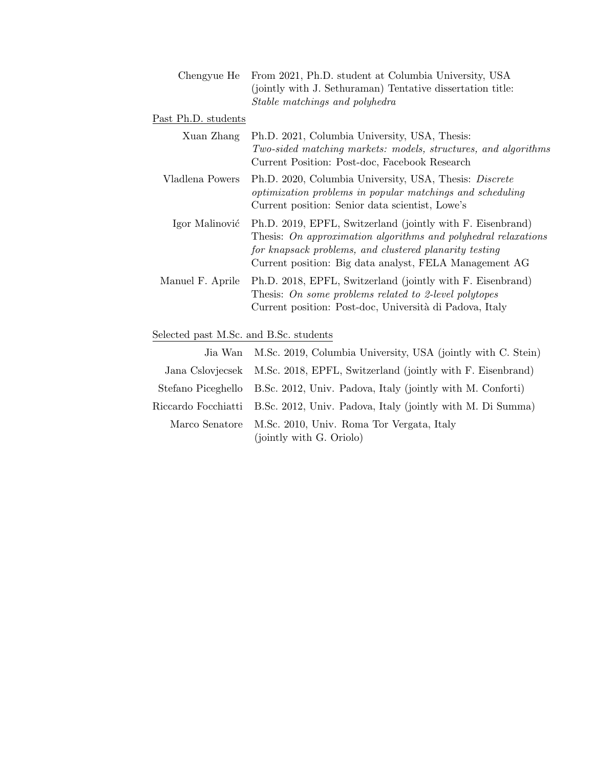|                     | Chengyue He From 2021, Ph.D. student at Columbia University, USA<br>(jointly with J. Sethuraman) Tentative dissertation title:<br>Stable matchings and polyhedra                                                                                 |
|---------------------|--------------------------------------------------------------------------------------------------------------------------------------------------------------------------------------------------------------------------------------------------|
| Past Ph.D. students |                                                                                                                                                                                                                                                  |
| Xuan Zhang          | Ph.D. 2021, Columbia University, USA, Thesis:<br>Two-sided matching markets: models, structures, and algorithms<br>Current Position: Post-doc, Facebook Research                                                                                 |
| Vladlena Powers     | Ph.D. 2020, Columbia University, USA, Thesis: Discrete<br>optimization problems in popular matchings and scheduling<br>Current position: Senior data scientist, Lowe's                                                                           |
| Igor Malinović      | Ph.D. 2019, EPFL, Switzerland (jointly with F. Eisenbrand)<br>Thesis: On approximation algorithms and polyhedral relaxations<br>for knapsack problems, and clustered planarity testing<br>Current position: Big data analyst, FELA Management AG |
| Manuel F. Aprile    | Ph.D. 2018, EPFL, Switzerland (jointly with F. Eisenbrand)<br>Thesis: On some problems related to 2-level polytopes<br>Current position: Post-doc, Università di Padova, Italy                                                                   |

## Selected past M.Sc. and B.Sc. students

| Jia Wan M.Sc. 2019, Columbia University, USA (jointly with C. Stein)                 |
|--------------------------------------------------------------------------------------|
| Jana Cslovjecsek M.Sc. 2018, EPFL, Switzerland (jointly with F. Eisenbrand)          |
| Stefano Piceghello B.Sc. 2012, Univ. Padova, Italy (jointly with M. Conforti)        |
| Riccardo Focchiatti B.Sc. 2012, Univ. Padova, Italy (jointly with M. Di Summa)       |
| Marco Senatore M.Sc. 2010, Univ. Roma Tor Vergata, Italy<br>(jointly with G. Oriolo) |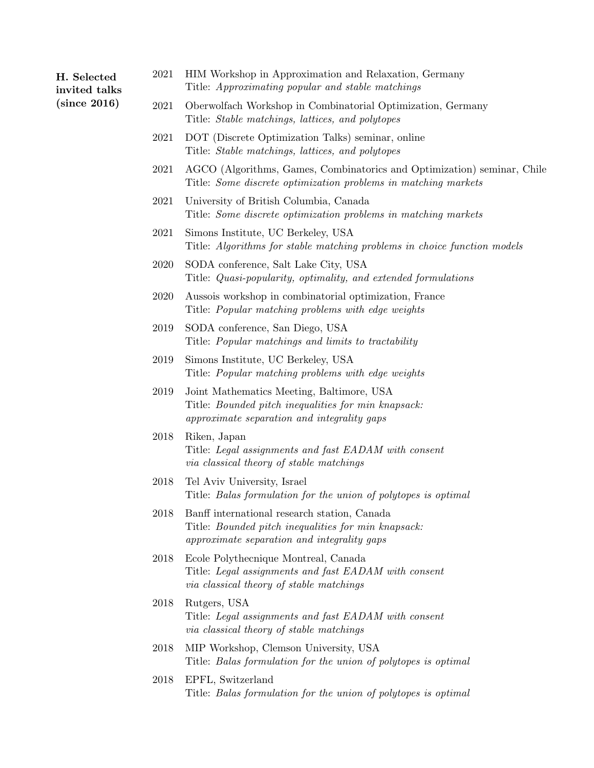## H. Selected invited talks (since 2016)

- 2021 HIM Workshop in Approximation and Relaxation, Germany Title: Approximating popular and stable matchings
- 2021 Oberwolfach Workshop in Combinatorial Optimization, Germany Title: Stable matchings, lattices, and polytopes
- 2021 DOT (Discrete Optimization Talks) seminar, online Title: Stable matchings, lattices, and polytopes
- 2021 AGCO (Algorithms, Games, Combinatorics and Optimization) seminar, Chile Title: Some discrete optimization problems in matching markets
- 2021 University of British Columbia, Canada Title: Some discrete optimization problems in matching markets
- 2021 Simons Institute, UC Berkeley, USA Title: Algorithms for stable matching problems in choice function models
- 2020 SODA conference, Salt Lake City, USA Title: Quasi-popularity, optimality, and extended formulations
- 2020 Aussois workshop in combinatorial optimization, France Title: Popular matching problems with edge weights
- 2019 SODA conference, San Diego, USA Title: Popular matchings and limits to tractability
- 2019 Simons Institute, UC Berkeley, USA Title: Popular matching problems with edge weights
- 2019 Joint Mathematics Meeting, Baltimore, USA Title: Bounded pitch inequalities for min knapsack: approximate separation and integrality gaps
- 2018 Riken, Japan Title: Legal assignments and fast EADAM with consent via classical theory of stable matchings
- 2018 Tel Aviv University, Israel Title: Balas formulation for the union of polytopes is optimal
- 2018 Banff international research station, Canada Title: Bounded pitch inequalities for min knapsack: approximate separation and integrality gaps
- 2018 Ecole Polythecnique Montreal, Canada Title: Legal assignments and fast EADAM with consent via classical theory of stable matchings
- 2018 Rutgers, USA Title: Legal assignments and fast EADAM with consent via classical theory of stable matchings
- 2018 MIP Workshop, Clemson University, USA Title: Balas formulation for the union of polytopes is optimal
- 2018 EPFL, Switzerland Title: Balas formulation for the union of polytopes is optimal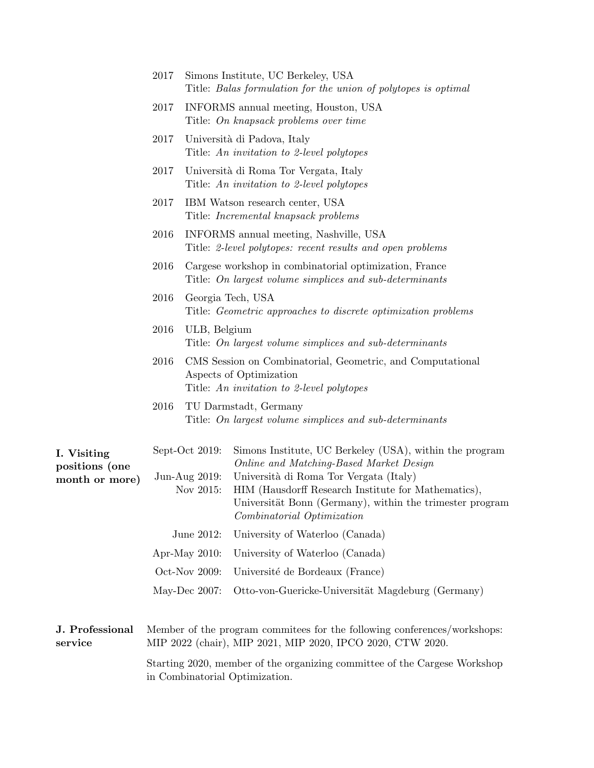|                                                 | 2017                                                                                                        | Simons Institute, UC Berkeley, USA<br>Title: Balas formulation for the union of polytopes is optimal              |                                                                                                                                                                                                                                                                                               |  |  |
|-------------------------------------------------|-------------------------------------------------------------------------------------------------------------|-------------------------------------------------------------------------------------------------------------------|-----------------------------------------------------------------------------------------------------------------------------------------------------------------------------------------------------------------------------------------------------------------------------------------------|--|--|
|                                                 | 2017                                                                                                        | INFORMS annual meeting, Houston, USA<br>Title: On knapsack problems over time                                     |                                                                                                                                                                                                                                                                                               |  |  |
|                                                 | 2017                                                                                                        | Università di Padova, Italy<br>Title: An invitation to 2-level polytopes                                          |                                                                                                                                                                                                                                                                                               |  |  |
|                                                 | 2017                                                                                                        | Università di Roma Tor Vergata, Italy<br>Title: An invitation to 2-level polytopes                                |                                                                                                                                                                                                                                                                                               |  |  |
|                                                 | 2017                                                                                                        | IBM Watson research center, USA<br>Title: <i>Incremental knapsack problems</i>                                    |                                                                                                                                                                                                                                                                                               |  |  |
|                                                 | 2016                                                                                                        | INFORMS annual meeting, Nashville, USA<br>Title: 2-level polytopes: recent results and open problems              |                                                                                                                                                                                                                                                                                               |  |  |
|                                                 | 2016                                                                                                        | Cargese workshop in combinatorial optimization, France<br>Title: On largest volume simplices and sub-determinants |                                                                                                                                                                                                                                                                                               |  |  |
|                                                 | 2016                                                                                                        | Georgia Tech, USA<br>Title: Geometric approaches to discrete optimization problems                                |                                                                                                                                                                                                                                                                                               |  |  |
|                                                 | 2016                                                                                                        | ULB, Belgium<br>Title: On largest volume simplices and sub-determinants                                           |                                                                                                                                                                                                                                                                                               |  |  |
|                                                 | 2016                                                                                                        |                                                                                                                   | CMS Session on Combinatorial, Geometric, and Computational<br>Aspects of Optimization<br>Title: An invitation to 2-level polytopes                                                                                                                                                            |  |  |
|                                                 | 2016                                                                                                        |                                                                                                                   | TU Darmstadt, Germany<br>Title: On largest volume simplices and sub-determinants                                                                                                                                                                                                              |  |  |
| I. Visiting<br>positions (one<br>month or more) | Sept-Oct 2019:<br>Jun-Aug 2019:<br>Nov 2015:                                                                |                                                                                                                   | Simons Institute, UC Berkeley (USA), within the program<br>Online and Matching-Based Market Design<br>Università di Roma Tor Vergata (Italy)<br>HIM (Hausdorff Research Institute for Mathematics),<br>Universität Bonn (Germany), within the trimester program<br>Combinatorial Optimization |  |  |
|                                                 | June 2012:                                                                                                  |                                                                                                                   | University of Waterloo (Canada)                                                                                                                                                                                                                                                               |  |  |
|                                                 | Apr-May $2010$ :                                                                                            |                                                                                                                   | University of Waterloo (Canada)                                                                                                                                                                                                                                                               |  |  |
|                                                 | Oct-Nov 2009:                                                                                               |                                                                                                                   | Université de Bordeaux (France)                                                                                                                                                                                                                                                               |  |  |
|                                                 | May-Dec $2007$ :                                                                                            |                                                                                                                   | Otto-von-Guericke-Universität Magdeburg (Germany)                                                                                                                                                                                                                                             |  |  |
| J. Professional<br>service                      |                                                                                                             |                                                                                                                   | Member of the program commitees for the following conferences/workshops:<br>MIP 2022 (chair), MIP 2021, MIP 2020, IPCO 2020, CTW 2020.                                                                                                                                                        |  |  |
|                                                 | Starting 2020, member of the organizing committee of the Cargese Workshop<br>in Combinatorial Optimization. |                                                                                                                   |                                                                                                                                                                                                                                                                                               |  |  |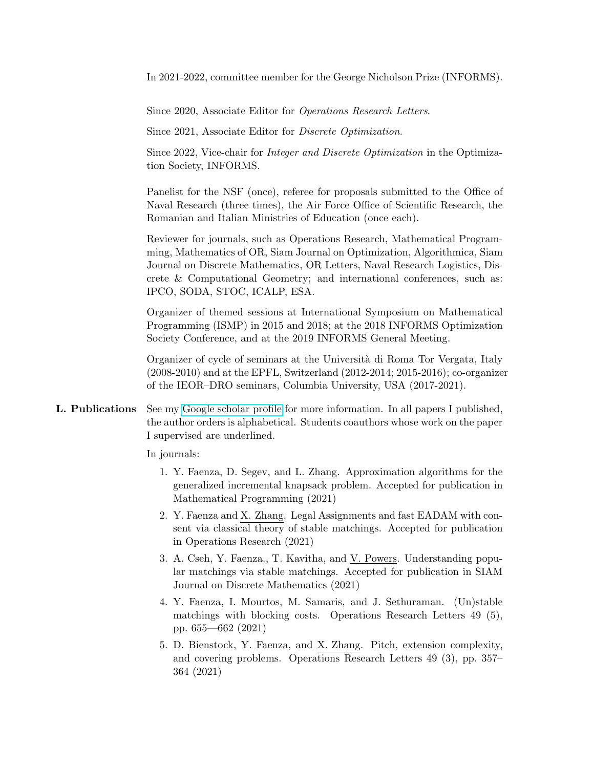In 2021-2022, committee member for the George Nicholson Prize (INFORMS).

Since 2020, Associate Editor for Operations Research Letters.

Since 2021, Associate Editor for Discrete Optimization.

Since 2022, Vice-chair for Integer and Discrete Optimization in the Optimization Society, INFORMS.

Panelist for the NSF (once), referee for proposals submitted to the Office of Naval Research (three times), the Air Force Office of Scientific Research, the Romanian and Italian Ministries of Education (once each).

Reviewer for journals, such as Operations Research, Mathematical Programming, Mathematics of OR, Siam Journal on Optimization, Algorithmica, Siam Journal on Discrete Mathematics, OR Letters, Naval Research Logistics, Discrete & Computational Geometry; and international conferences, such as: IPCO, SODA, STOC, ICALP, ESA.

Organizer of themed sessions at International Symposium on Mathematical Programming (ISMP) in 2015 and 2018; at the 2018 INFORMS Optimization Society Conference, and at the 2019 INFORMS General Meeting.

Organizer of cycle of seminars at the Universit`a di Roma Tor Vergata, Italy (2008-2010) and at the EPFL, Switzerland (2012-2014; 2015-2016); co-organizer of the IEOR–DRO seminars, Columbia University, USA (2017-2021).

L. Publications See my [Google scholar profile](http://scholar.google.ch/citations?user=5tnKLtMAAAAJ&hl=en) for more information. In all papers I published, the author orders is alphabetical. Students coauthors whose work on the paper I supervised are underlined.

In journals:

- 1. Y. Faenza, D. Segev, and L. Zhang. Approximation algorithms for the generalized incremental knapsack problem. Accepted for publication in Mathematical Programming (2021)
- 2. Y. Faenza and X. Zhang. Legal Assignments and fast EADAM with consent via classical theory of stable matchings. Accepted for publication in Operations Research (2021)
- 3. A. Cseh, Y. Faenza., T. Kavitha, and V. Powers. Understanding popular matchings via stable matchings. Accepted for publication in SIAM Journal on Discrete Mathematics (2021)
- 4. Y. Faenza, I. Mourtos, M. Samaris, and J. Sethuraman. (Un)stable matchings with blocking costs. Operations Research Letters 49 (5), pp. 655—662 (2021)
- 5. D. Bienstock, Y. Faenza, and X. Zhang. Pitch, extension complexity, and covering problems. Operations Research Letters 49 (3), pp. 357– 364 (2021)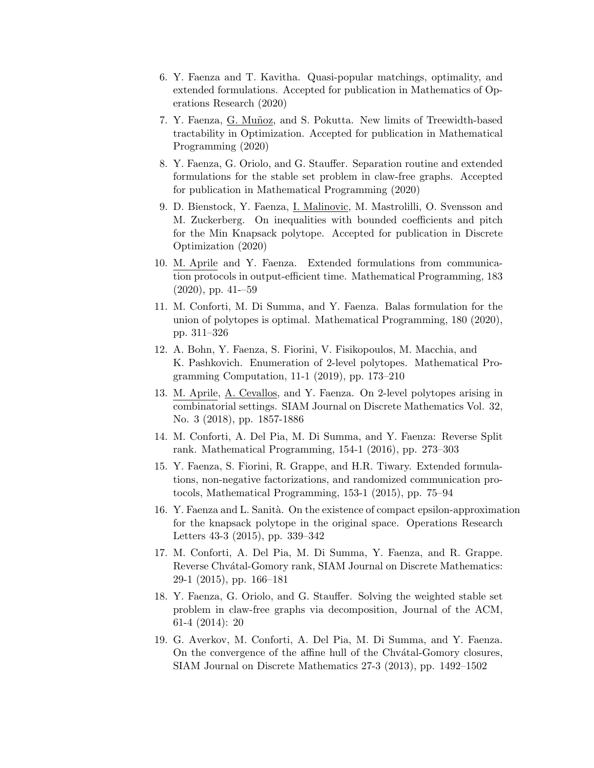- 6. Y. Faenza and T. Kavitha. Quasi-popular matchings, optimality, and extended formulations. Accepted for publication in Mathematics of Operations Research (2020)
- 7. Y. Faenza, G. Mu˜noz, and S. Pokutta. New limits of Treewidth-based tractability in Optimization. Accepted for publication in Mathematical Programming (2020)
- 8. Y. Faenza, G. Oriolo, and G. Stauffer. Separation routine and extended formulations for the stable set problem in claw-free graphs. Accepted for publication in Mathematical Programming (2020)
- 9. D. Bienstock, Y. Faenza, I. Malinovic, M. Mastrolilli, O. Svensson and M. Zuckerberg. On inequalities with bounded coefficients and pitch for the Min Knapsack polytope. Accepted for publication in Discrete Optimization (2020)
- 10. M. Aprile and Y. Faenza. Extended formulations from communication protocols in output-efficient time. Mathematical Programming, 183  $(2020)$ , pp. 41--59
- 11. M. Conforti, M. Di Summa, and Y. Faenza. Balas formulation for the union of polytopes is optimal. Mathematical Programming, 180 (2020), pp. 311–326
- 12. A. Bohn, Y. Faenza, S. Fiorini, V. Fisikopoulos, M. Macchia, and K. Pashkovich. Enumeration of 2-level polytopes. Mathematical Programming Computation, 11-1 (2019), pp. 173–210
- 13. M. Aprile, A. Cevallos, and Y. Faenza. On 2-level polytopes arising in combinatorial settings. SIAM Journal on Discrete Mathematics Vol. 32, No. 3 (2018), pp. 1857-1886
- 14. M. Conforti, A. Del Pia, M. Di Summa, and Y. Faenza: Reverse Split rank. Mathematical Programming, 154-1 (2016), pp. 273–303
- 15. Y. Faenza, S. Fiorini, R. Grappe, and H.R. Tiwary. Extended formulations, non-negative factorizations, and randomized communication protocols, Mathematical Programming, 153-1 (2015), pp. 75–94
- 16. Y. Faenza and L. Sanit`a. On the existence of compact epsilon-approximation for the knapsack polytope in the original space. Operations Research Letters 43-3 (2015), pp. 339–342
- 17. M. Conforti, A. Del Pia, M. Di Summa, Y. Faenza, and R. Grappe. Reverse Chvátal-Gomory rank, SIAM Journal on Discrete Mathematics: 29-1 (2015), pp. 166–181
- 18. Y. Faenza, G. Oriolo, and G. Stauffer. Solving the weighted stable set problem in claw-free graphs via decomposition, Journal of the ACM, 61-4 (2014): 20
- 19. G. Averkov, M. Conforti, A. Del Pia, M. Di Summa, and Y. Faenza. On the convergence of the affine hull of the Chvatal-Gomory closures, SIAM Journal on Discrete Mathematics 27-3 (2013), pp. 1492–1502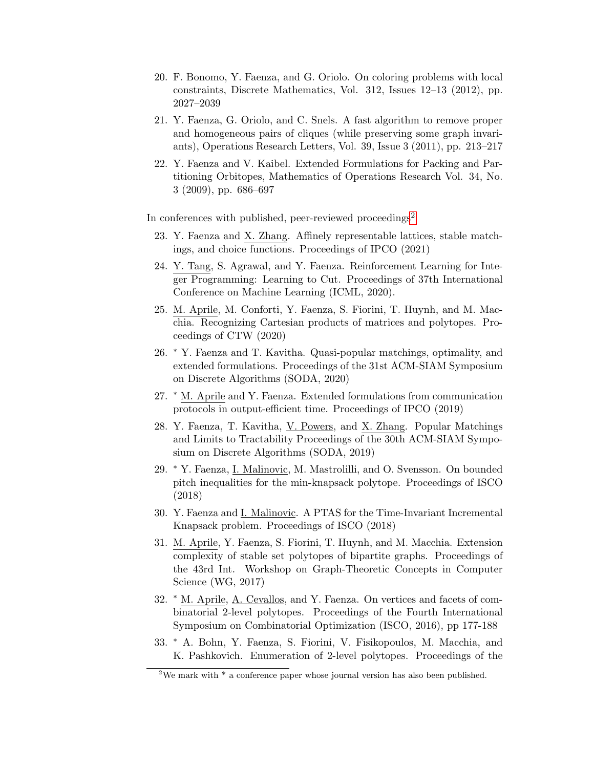- 20. F. Bonomo, Y. Faenza, and G. Oriolo. On coloring problems with local constraints, Discrete Mathematics, Vol. 312, Issues 12–13 (2012), pp. 2027–2039
- 21. Y. Faenza, G. Oriolo, and C. Snels. A fast algorithm to remove proper and homogeneous pairs of cliques (while preserving some graph invariants), Operations Research Letters, Vol. 39, Issue 3 (2011), pp. 213–217
- 22. Y. Faenza and V. Kaibel. Extended Formulations for Packing and Partitioning Orbitopes, Mathematics of Operations Research Vol. 34, No. 3 (2009), pp. 686–697

In conferences with published, peer-reviewed proceedings<sup>[2](#page-8-0)</sup>

- 23. Y. Faenza and X. Zhang. Affinely representable lattices, stable matchings, and choice functions. Proceedings of IPCO (2021)
- 24. Y. Tang, S. Agrawal, and Y. Faenza. Reinforcement Learning for Integer Programming: Learning to Cut. Proceedings of 37th International Conference on Machine Learning (ICML, 2020).
- 25. M. Aprile, M. Conforti, Y. Faenza, S. Fiorini, T. Huynh, and M. Macchia. Recognizing Cartesian products of matrices and polytopes. Proceedings of CTW (2020)
- 26. <sup>∗</sup> Y. Faenza and T. Kavitha. Quasi-popular matchings, optimality, and extended formulations. Proceedings of the 31st ACM-SIAM Symposium on Discrete Algorithms (SODA, 2020)
- 27. <sup>∗</sup> M. Aprile and Y. Faenza. Extended formulations from communication protocols in output-efficient time. Proceedings of IPCO (2019)
- 28. Y. Faenza, T. Kavitha, V. Powers, and X. Zhang. Popular Matchings and Limits to Tractability Proceedings of the 30th ACM-SIAM Symposium on Discrete Algorithms (SODA, 2019)
- 29. <sup>∗</sup> Y. Faenza, I. Malinovic, M. Mastrolilli, and O. Svensson. On bounded pitch inequalities for the min-knapsack polytope. Proceedings of ISCO (2018)
- 30. Y. Faenza and I. Malinovic. A PTAS for the Time-Invariant Incremental Knapsack problem. Proceedings of ISCO (2018)
- 31. M. Aprile, Y. Faenza, S. Fiorini, T. Huynh, and M. Macchia. Extension complexity of stable set polytopes of bipartite graphs. Proceedings of the 43rd Int. Workshop on Graph-Theoretic Concepts in Computer Science (WG, 2017)
- 32. <sup>∗</sup> M. Aprile, A. Cevallos, and Y. Faenza. On vertices and facets of combinatorial 2-level polytopes. Proceedings of the Fourth International Symposium on Combinatorial Optimization (ISCO, 2016), pp 177-188
- 33. <sup>∗</sup> A. Bohn, Y. Faenza, S. Fiorini, V. Fisikopoulos, M. Macchia, and K. Pashkovich. Enumeration of 2-level polytopes. Proceedings of the

<span id="page-8-0"></span><sup>&</sup>lt;sup>2</sup>We mark with  $*$  a conference paper whose journal version has also been published.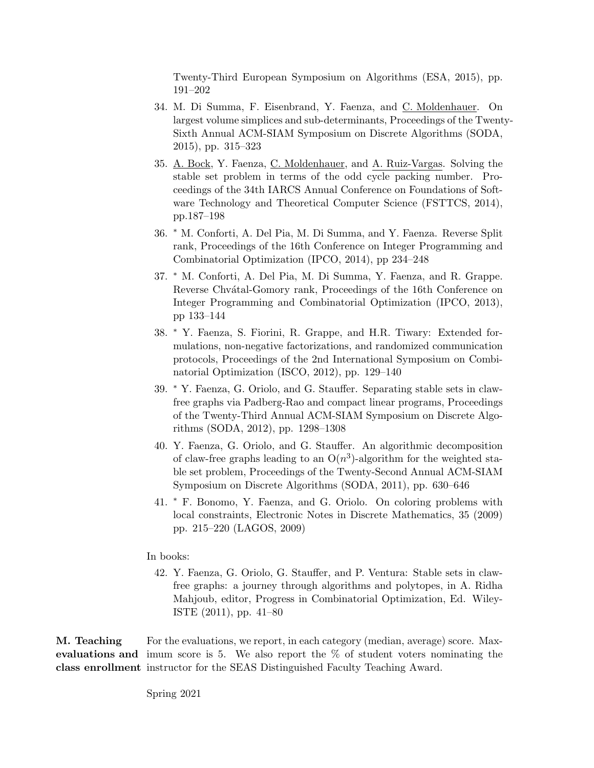Twenty-Third European Symposium on Algorithms (ESA, 2015), pp. 191–202

- 34. M. Di Summa, F. Eisenbrand, Y. Faenza, and C. Moldenhauer. On largest volume simplices and sub-determinants, Proceedings of the Twenty-Sixth Annual ACM-SIAM Symposium on Discrete Algorithms (SODA, 2015), pp. 315–323
- 35. A. Bock, Y. Faenza, C. Moldenhauer, and A. Ruiz-Vargas. Solving the stable set problem in terms of the odd cycle packing number. Proceedings of the 34th IARCS Annual Conference on Foundations of Software Technology and Theoretical Computer Science (FSTTCS, 2014), pp.187–198
- 36. <sup>∗</sup> M. Conforti, A. Del Pia, M. Di Summa, and Y. Faenza. Reverse Split rank, Proceedings of the 16th Conference on Integer Programming and Combinatorial Optimization (IPCO, 2014), pp 234–248
- 37. <sup>∗</sup> M. Conforti, A. Del Pia, M. Di Summa, Y. Faenza, and R. Grappe. Reverse Chvátal-Gomory rank, Proceedings of the 16th Conference on Integer Programming and Combinatorial Optimization (IPCO, 2013), pp 133–144
- 38. <sup>∗</sup> Y. Faenza, S. Fiorini, R. Grappe, and H.R. Tiwary: Extended formulations, non-negative factorizations, and randomized communication protocols, Proceedings of the 2nd International Symposium on Combinatorial Optimization (ISCO, 2012), pp. 129–140
- 39. <sup>∗</sup> Y. Faenza, G. Oriolo, and G. Stauffer. Separating stable sets in clawfree graphs via Padberg-Rao and compact linear programs, Proceedings of the Twenty-Third Annual ACM-SIAM Symposium on Discrete Algorithms (SODA, 2012), pp. 1298–1308
- 40. Y. Faenza, G. Oriolo, and G. Stauffer. An algorithmic decomposition of claw-free graphs leading to an  $O(n^3)$ -algorithm for the weighted stable set problem, Proceedings of the Twenty-Second Annual ACM-SIAM Symposium on Discrete Algorithms (SODA, 2011), pp. 630–646
- 41. <sup>∗</sup> F. Bonomo, Y. Faenza, and G. Oriolo. On coloring problems with local constraints, Electronic Notes in Discrete Mathematics, 35 (2009) pp. 215–220 (LAGOS, 2009)

#### In books:

42. Y. Faenza, G. Oriolo, G. Stauffer, and P. Ventura: Stable sets in clawfree graphs: a journey through algorithms and polytopes, in A. Ridha Mahjoub, editor, Progress in Combinatorial Optimization, Ed. Wiley-ISTE (2011), pp. 41–80

M. Teaching evaluations and imum score is 5. We also report the  $\%$  of student voters nominating the class enrollment instructor for the SEAS Distinguished Faculty Teaching Award. For the evaluations, we report, in each category (median, average) score. Max-

Spring 2021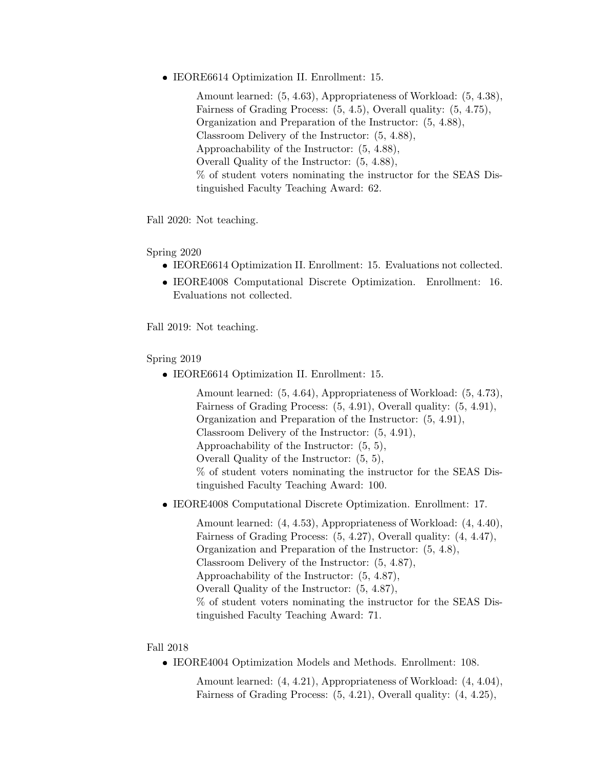IEORE6614 Optimization II. Enrollment: 15.

Amount learned: (5, 4.63), Appropriateness of Workload: (5, 4.38), Fairness of Grading Process: (5, 4.5), Overall quality: (5, 4.75), Organization and Preparation of the Instructor: (5, 4.88), Classroom Delivery of the Instructor: (5, 4.88), Approachability of the Instructor: (5, 4.88), Overall Quality of the Instructor: (5, 4.88), % of student voters nominating the instructor for the SEAS Distinguished Faculty Teaching Award: 62.

Fall 2020: Not teaching.

Spring 2020

- IEORE6614 Optimization II. Enrollment: 15. Evaluations not collected.
- IEORE4008 Computational Discrete Optimization. Enrollment: 16. Evaluations not collected.

Fall 2019: Not teaching.

Spring 2019

IEORE6614 Optimization II. Enrollment: 15.

Amount learned: (5, 4.64), Appropriateness of Workload: (5, 4.73), Fairness of Grading Process: (5, 4.91), Overall quality: (5, 4.91), Organization and Preparation of the Instructor: (5, 4.91), Classroom Delivery of the Instructor: (5, 4.91), Approachability of the Instructor: (5, 5), Overall Quality of the Instructor: (5, 5), % of student voters nominating the instructor for the SEAS Distinguished Faculty Teaching Award: 100.

IEORE4008 Computational Discrete Optimization. Enrollment: 17.

Amount learned: (4, 4.53), Appropriateness of Workload: (4, 4.40), Fairness of Grading Process: (5, 4.27), Overall quality: (4, 4.47), Organization and Preparation of the Instructor: (5, 4.8), Classroom Delivery of the Instructor: (5, 4.87), Approachability of the Instructor: (5, 4.87), Overall Quality of the Instructor: (5, 4.87), % of student voters nominating the instructor for the SEAS Distinguished Faculty Teaching Award: 71.

### Fall 2018

IEORE4004 Optimization Models and Methods. Enrollment: 108.

Amount learned: (4, 4.21), Appropriateness of Workload: (4, 4.04), Fairness of Grading Process: (5, 4.21), Overall quality: (4, 4.25),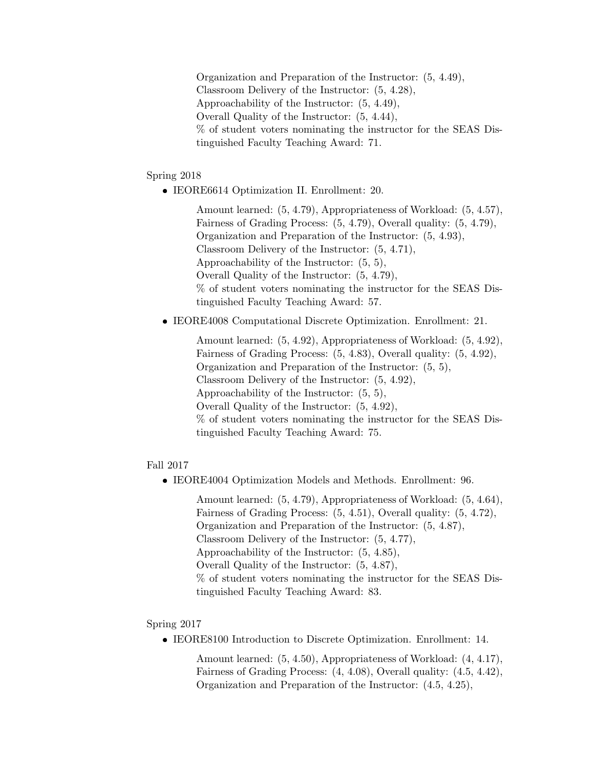Organization and Preparation of the Instructor: (5, 4.49), Classroom Delivery of the Instructor: (5, 4.28), Approachability of the Instructor: (5, 4.49), Overall Quality of the Instructor: (5, 4.44), % of student voters nominating the instructor for the SEAS Distinguished Faculty Teaching Award: 71.

Spring 2018

IEORE6614 Optimization II. Enrollment: 20.

Amount learned: (5, 4.79), Appropriateness of Workload: (5, 4.57), Fairness of Grading Process: (5, 4.79), Overall quality: (5, 4.79), Organization and Preparation of the Instructor: (5, 4.93), Classroom Delivery of the Instructor: (5, 4.71), Approachability of the Instructor: (5, 5), Overall Quality of the Instructor: (5, 4.79), % of student voters nominating the instructor for the SEAS Distinguished Faculty Teaching Award: 57.

IEORE4008 Computational Discrete Optimization. Enrollment: 21.

Amount learned: (5, 4.92), Appropriateness of Workload: (5, 4.92), Fairness of Grading Process: (5, 4.83), Overall quality: (5, 4.92), Organization and Preparation of the Instructor: (5, 5), Classroom Delivery of the Instructor: (5, 4.92), Approachability of the Instructor: (5, 5), Overall Quality of the Instructor: (5, 4.92), % of student voters nominating the instructor for the SEAS Distinguished Faculty Teaching Award: 75.

Fall 2017

IEORE4004 Optimization Models and Methods. Enrollment: 96.

Amount learned: (5, 4.79), Appropriateness of Workload: (5, 4.64), Fairness of Grading Process: (5, 4.51), Overall quality: (5, 4.72), Organization and Preparation of the Instructor: (5, 4.87), Classroom Delivery of the Instructor: (5, 4.77), Approachability of the Instructor: (5, 4.85), Overall Quality of the Instructor: (5, 4.87), % of student voters nominating the instructor for the SEAS Distinguished Faculty Teaching Award: 83.

Spring 2017

IEORE8100 Introduction to Discrete Optimization. Enrollment: 14.

Amount learned: (5, 4.50), Appropriateness of Workload: (4, 4.17), Fairness of Grading Process: (4, 4.08), Overall quality: (4.5, 4.42), Organization and Preparation of the Instructor: (4.5, 4.25),